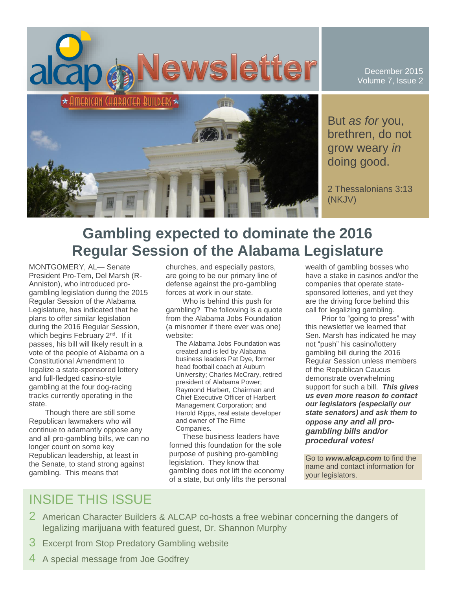

December 2015 Volume 7, Issue 2

But *as for* you, brethren, do not grow weary *in* doing good.

2 Thessalonians 3:13 (NKJV)

# **Gambling expected to dominate the 2016 Regular Session of the Alabama Legislature**

MONTGOMERY, AL— Senate President Pro-Tem, Del Marsh (R-Anniston), who introduced progambling legislation during the 2015 Regular Session of the Alabama Legislature, has indicated that he plans to offer similar legislation during the 2016 Regular Session, which begins February 2<sup>nd</sup>. If it passes, his bill will likely result in a vote of the people of Alabama on a Constitutional Amendment to legalize a state-sponsored lottery and full-fledged casino-style gambling at the four dog-racing tracks currently operating in the state.

Though there are still some Republican lawmakers who will continue to adamantly oppose any and all pro-gambling bills, we can no longer count on some key Republican leadership, at least in the Senate, to stand strong against gambling. This means that

churches, and especially pastors, are going to be our primary line of defense against the pro-gambling forces at work in our state.

Who is behind this push for gambling? The following is a quote from the Alabama Jobs Foundation (a misnomer if there ever was one) website:

The Alabama Jobs Foundation was created and is led by Alabama business leaders Pat Dye, former head football coach at Auburn University; Charles McCrary, retired president of Alabama Power; Raymond Harbert, Chairman and Chief Executive Officer of Harbert Management Corporation; and Harold Ripps, real estate developer and owner of The Rime Companies.

These business leaders have formed this foundation for the sole purpose of pushing pro-gambling legislation. They know that gambling does not lift the economy of a state, but only lifts the personal wealth of gambling bosses who have a stake in casinos and/or the companies that operate statesponsored lotteries, and yet they are the driving force behind this call for legalizing gambling.

Prior to "going to press" with this newsletter we learned that Sen. Marsh has indicated he may not "push" his casino/lottery gambling bill during the 2016 Regular Session unless members of the Republican Caucus demonstrate overwhelming support for such a bill. *This gives us even more reason to contact our legislators (especially our state senators) and ask them to oppose any and all progambling bills and/or procedural votes!*

Go to *www.alcap.com* to find the name and contact information for your legislators.

# INSIDE THIS ISSUE

- 2 American Character Builders & ALCAP co-hosts a free webinar concerning the dangers of legalizing marijuana with featured guest, Dr. Shannon Murphy
- 3 Excerpt from Stop Predatory Gambling website
- 4 A special message from Joe Godfrey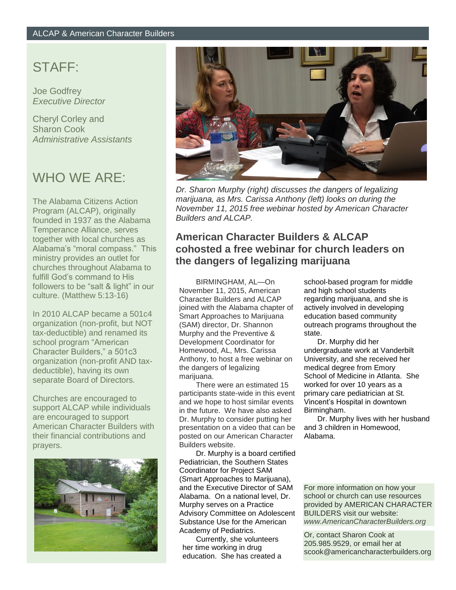### STAFF:

Joe Godfrey *Executive Director*

Cheryl Corley and Sharon Cook *Administrative Assistants*

## WHO WE ARE:

The Alabama Citizens Action Program (ALCAP), originally founded in 1937 as the Alabama Temperance Alliance, serves together with local churches as Alabama's "moral compass." This ministry provides an outlet for churches throughout Alabama to fulfill God's command to His followers to be "salt & light" in our culture. (Matthew 5:13-16)

In 2010 ALCAP became a 501c4 organization (non-profit, but NOT tax-deductible) and renamed its school program "American Character Builders," a 501c3 organization (non-profit AND taxdeductible), having its own separate Board of Directors.

Churches are encouraged to support ALCAP while individuals are encouraged to support American Character Builders with their financial contributions and prayers.





*Dr. Sharon Murphy (right) discusses the dangers of legalizing marijuana, as Mrs. Carissa Anthony (left) looks on during the November 11, 2015 free webinar hosted by American Character Builders and ALCAP.*

### **American Character Builders & ALCAP cohosted a free webinar for church leaders on the dangers of legalizing marijuana**

BIRMINGHAM, AL—On November 11, 2015, American Character Builders and ALCAP joined with the Alabama chapter of Smart Approaches to Marijuana (SAM) director, Dr. Shannon Murphy and the Preventive & Development Coordinator for Homewood, AL, Mrs. Carissa Anthony, to host a free webinar on the dangers of legalizing marijuana.

There were an estimated 15 participants state-wide in this event and we hope to host similar events in the future. We have also asked Dr. Murphy to consider putting her presentation on a video that can be posted on our American Character Builders website.

Dr. Murphy is a board certified Pediatrician, the Southern States Coordinator for Project SAM (Smart Approaches to Marijuana), and the Executive Director of SAM Alabama. On a national level, Dr. Murphy serves on a Practice Advisory Committee on Adolescent Substance Use for the American Academy of Pediatrics.

Currently, she volunteers her time working in drug education. She has created a school-based program for middle and high school students regarding marijuana, and she is actively involved in developing education based community outreach programs throughout the state.

Dr. Murphy did her undergraduate work at Vanderbilt University, and she received her medical degree from Emory School of Medicine in Atlanta. She worked for over 10 years as a primary care pediatrician at St. Vincent's Hospital in downtown Birmingham.

Dr. Murphy lives with her husband and 3 children in Homewood, Alabama.

For more information on how your school or church can use resources provided by AMERICAN CHARACTER BUILDERS visit our website: *www.AmericanCharacterBuilders.org*

Or, contact Sharon Cook at 205.985.9529, or email her at scook@americancharacterbuilders.org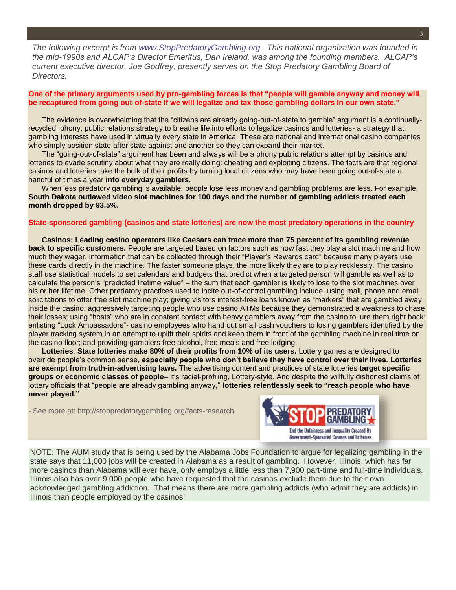*The following excerpt is from [www.StopPredatoryGambling.org.](http://www.stoppredatorygambling.org/) This national organization was founded in the mid-1990s and ALCAP's Director Emeritus, Dan Ireland, was among the founding members. ALCAP's current executive director, Joe Godfrey, presently serves on the Stop Predatory Gambling Board of Directors.*

#### **One of the primary arguments used by pro-gambling forces is that "people will gamble anyway and money will be recaptured from going out-of-state if we will legalize and tax those gambling dollars in our own state."**

The evidence is overwhelming that the "citizens are already going-out-of-state to gamble" argument is a continuallyrecycled, phony, public relations strategy to breathe life into efforts to legalize casinos and lotteries- a strategy that gambling interests have used in virtually every state in America. These are national and international casino companies who simply position state after state against one another so they can expand their market.

The "going-out-of-state" argument has been and always will be a phony public relations attempt by casinos and lotteries to evade scrutiny about what they are really doing: cheating and exploiting citizens. The facts are that regional casinos and lotteries take the bulk of their profits by turning local citizens who may have been going out-of-state a handful of times a year **into everyday gamblers.**

When less predatory gambling is available, people lose less money and gambling problems are less. For example, **South Dakota outlawed video slot machines for 100 days and the number of gambling addicts treated each month dropped by 93.5%.**

#### **State-sponsored gambling (casinos and state lotteries) are now the most predatory operations in the country**

**Casinos: Leading casino operators like Caesars can trace more than 75 percent of its gambling revenue back to specific customers.** People are targeted based on factors such as how fast they play a slot machine and how much they wager, information that can be collected through their "Player's Rewards card" because many players use these cards directly in the machine. The faster someone plays, the more likely they are to play recklessly. The casino staff use statistical models to set calendars and budgets that predict when a targeted person will gamble as well as to calculate the person's "predicted lifetime value" – the sum that each gambler is likely to lose to the slot machines over his or her lifetime. Other predatory practices used to incite out-of-control gambling include: using mail, phone and email solicitations to offer free slot machine play; giving visitors interest-free loans known as "markers" that are gambled away inside the casino; aggressively targeting people who use casino ATMs because they demonstrated a weakness to chase their losses; using "hosts" who are in constant contact with heavy gamblers away from the casino to lure them right back; enlisting "Luck Ambassadors"- casino employees who hand out small cash vouchers to losing gamblers identified by the player tracking system in an attempt to uplift their spirits and keep them in front of the gambling machine in real time on the casino floor; and providing gamblers free alcohol, free meals and free lodging.

**Lotteries**: **State lotteries make 80% of their profits from 10% of its users.** Lottery games are designed to override people's common sense, **especially people who don't believe they have control over their lives. Lotteries are exempt from truth-in-advertising laws.** The advertising content and practices of state lotteries **target specific groups or economic classes of people**– it's racial-profiling, Lottery-style. And despite the willfully dishonest claims of lottery officials that "people are already gambling anyway," **lotteries relentlessly seek to "reach people who have never played."**

- See more at: http://stoppredatorygambling.org/facts-research



NOTE: The AUM study that is being used by the Alabama Jobs Foundation to argue for legalizing gambling in the state says that 11,000 jobs will be created in Alabama as a result of gambling. However, Illinois, which has far more casinos than Alabama will ever have, only employs a little less than 7,900 part-time and full-time individuals. Illinois also has over 9,000 people who have requested that the casinos exclude them due to their own acknowledged gambling addiction. That means there are more gambling addicts (who admit they are addicts) in Illinois than people employed by the casinos!